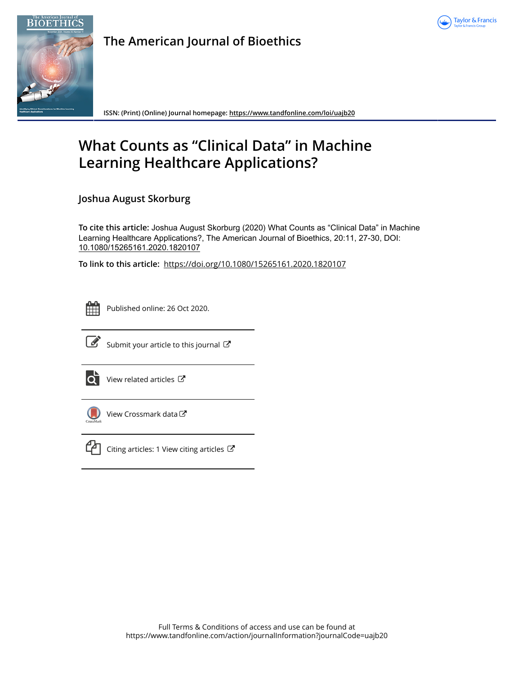



**The American Journal of Bioethics**

**ISSN: (Print) (Online) Journal homepage:<https://www.tandfonline.com/loi/uajb20>**

# **What Counts as "Clinical Data" in Machine Learning Healthcare Applications?**

**Joshua August Skorburg**

**To cite this article:** Joshua August Skorburg (2020) What Counts as "Clinical Data" in Machine Learning Healthcare Applications?, The American Journal of Bioethics, 20:11, 27-30, DOI: [10.1080/15265161.2020.1820107](https://www.tandfonline.com/action/showCitFormats?doi=10.1080/15265161.2020.1820107)

**To link to this article:** <https://doi.org/10.1080/15265161.2020.1820107>



Published online: 26 Oct 2020.



 $\overrightarrow{S}$  [Submit your article to this journal](https://www.tandfonline.com/action/authorSubmission?journalCode=uajb20&show=instructions)  $\overrightarrow{S}$ 



 $\bullet$  [View related articles](https://www.tandfonline.com/doi/mlt/10.1080/15265161.2020.1820107)  $\mathbb{Z}$ 



[View Crossmark data](http://crossmark.crossref.org/dialog/?doi=10.1080/15265161.2020.1820107&domain=pdf&date_stamp=2020-10-26) $\mathbb{Z}$ 



 $\mathbb{C}$  [Citing articles: 1 View citing articles](https://www.tandfonline.com/doi/citedby/10.1080/15265161.2020.1820107#tabModule)  $\mathbb{C}$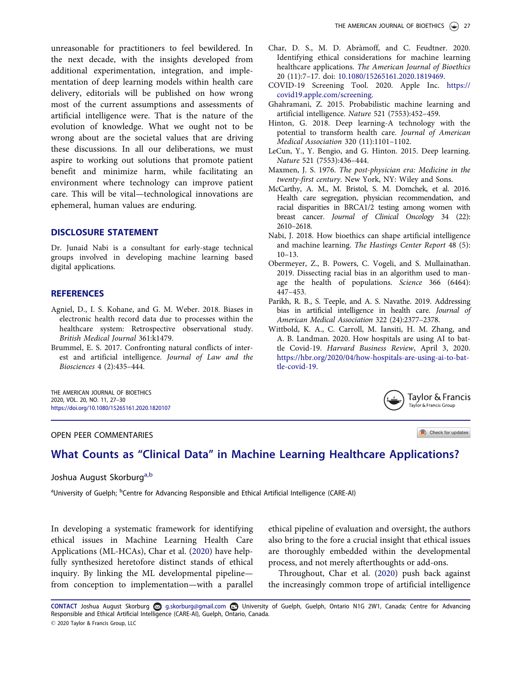<span id="page-1-0"></span>unreasonable for practitioners to feel bewildered. In the next decade, with the insights developed from additional experimentation, integration, and implementation of deep learning models within health care delivery, editorials will be published on how wrong most of the current assumptions and assessments of artificial intelligence were. That is the nature of the evolution of knowledge. What we ought not to be wrong about are the societal values that are driving these discussions. In all our deliberations, we must aspire to working out solutions that promote patient benefit and minimize harm, while facilitating an environment where technology can improve patient care. This will be vital—technological innovations are ephemeral, human values are enduring.

### DISCLOSURE STATEMENT

Dr. Junaid Nabi is a consultant for early-stage technical groups involved in developing machine learning based digital applications.

### **REFERENCES**

- Agniel, D., I. S. Kohane, and G. M. Weber. 2018. Biases in electronic health record data due to processes within the healthcare system: Retrospective observational study. British Medical Journal 361:k1479.
- Brummel, E. S. 2017. Confronting natural conflicts of interest and artificial intelligence. Journal of Law and the Biosciences 4 (2):435–444.

THE AMERICAN JOURNAL OF BIOETHICS 2020, VOL. 20, NO. 11, 27–30 [https://doi.org/10.1080/15265161.2020.1820107](https://doi.org/10.1080/15265161.2020.1820115)

### OPEN PEER COMMENTARIES

## What Counts as "Clinical Data" in Machine Learning Healthcare Applications?

### Joshua August Skorburg<sup>a,b</sup>

aUniversity of Guelph; <sup>b</sup>Centre for Advancing Responsible and Ethical Artificial Intelligence (CARE-AI)

In developing a systematic framework for identifying ethical issues in Machine Learning Health Care Applications (ML-HCAs), Char et al. ([2020\)](#page-3-0) have helpfully synthesized heretofore distinct stands of ethical inquiry. By linking the ML developmental pipeline from conception to implementation—with a parallel ethical pipeline of evaluation and oversight, the authors also bring to the fore a crucial insight that ethical issues are thoroughly embedded within the developmental process, and not merely afterthoughts or add-ons.

Throughout, Char et al. [\(2020\)](#page-3-0) push back against the increasingly common trope of artificial intelligence

CONTACT Joshua August Skorburg @ g.skorburg@gmail.com **@** University of Guelph, Guelph, Ontario N1G 2W1, Canada; Centre for Advancing Responsible and Ethical Artificial Intelligence (CARE-AI), Guelph, Ontario, Canada. 2020 Taylor & Francis Group, LLC

- Char, D. S., M. D. Abràmoff, and C. Feudtner. 2020. Identifying ethical considerations for machine learning healthcare applications. The American Journal of Bioethics 20 (11):7–17. doi: [10.1080/15265161.2020.1819469](https://doi.org/10.1080/15265161.2020.1819469).
- COVID-19 Screening Tool. 2020. Apple Inc. [https://](https://covid19.apple.com/screening) [covid19.apple.com/screening](https://covid19.apple.com/screening).
- Ghahramani, Z. 2015. Probabilistic machine learning and artificial intelligence. Nature 521 (7553):452–459.
- Hinton, G. 2018. Deep learning-A technology with the potential to transform health care. Journal of American Medical Association 320 (11):1101–1102.
- LeCun, Y., Y. Bengio, and G. Hinton. 2015. Deep learning. Nature 521 (7553):436–444.
- Maxmen, J. S. 1976. The post-physician era: Medicine in the twenty-first century. New York, NY: Wiley and Sons.
- McCarthy, A. M., M. Bristol, S. M. Domchek, et al. 2016. Health care segregation, physician recommendation, and racial disparities in BRCA1/2 testing among women with breast cancer. Journal of Clinical Oncology 34 (22): 2610–2618.
- Nabi, J. 2018. How bioethics can shape artificial intelligence and machine learning. The Hastings Center Report 48 (5): 10–13.
- Obermeyer, Z., B. Powers, C. Vogeli, and S. Mullainathan. 2019. Dissecting racial bias in an algorithm used to manage the health of populations. Science 366 (6464): 447–453.
- Parikh, R. B., S. Teeple, and A. S. Navathe. 2019. Addressing bias in artificial intelligence in health care. Journal of American Medical Association 322 (24):2377–2378.
- Wittbold, K. A., C. Carroll, M. Iansiti, H. M. Zhang, and A. B. Landman. 2020. How hospitals are using AI to battle Covid-19. Harvard Business Review, April 3, 2020. [https://hbr.org/2020/04/how-hospitals-are-using-ai-to-bat](https://hbr.org/2020/04/how-hospitals-are-using-ai-to-battle-covid-19)[tle-covid-19](https://hbr.org/2020/04/how-hospitals-are-using-ai-to-battle-covid-19).



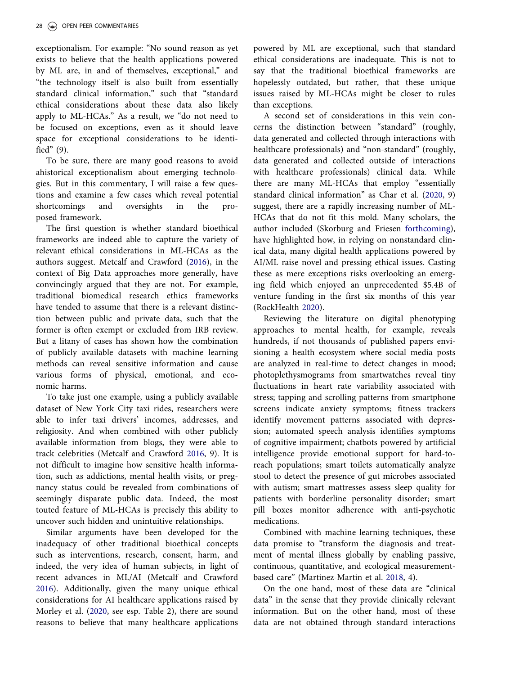<span id="page-2-0"></span>exceptionalism. For example: "No sound reason as yet exists to believe that the health applications powered by ML are, in and of themselves, exceptional," and "the technology itself is also built from essentially standard clinical information," such that "standard ethical considerations about these data also likely apply to ML-HCAs." As a result, we "do not need to be focused on exceptions, even as it should leave space for exceptional considerations to be identified" (9).

To be sure, there are many good reasons to avoid ahistorical exceptionalism about emerging technologies. But in this commentary, I will raise a few questions and examine a few cases which reveal potential shortcomings and oversights in the proposed framework.

The first question is whether standard bioethical frameworks are indeed able to capture the variety of relevant ethical considerations in ML-HCAs as the authors suggest. Metcalf and Crawford [\(2016](#page-4-0)), in the context of Big Data approaches more generally, have convincingly argued that they are not. For example, traditional biomedical research ethics frameworks have tended to assume that there is a relevant distinction between public and private data, such that the former is often exempt or excluded from IRB review. But a litany of cases has shown how the combination of publicly available datasets with machine learning methods can reveal sensitive information and cause various forms of physical, emotional, and economic harms.

To take just one example, using a publicly available dataset of New York City taxi rides, researchers were able to infer taxi drivers' incomes, addresses, and religiosity. And when combined with other publicly available information from blogs, they were able to track celebrities (Metcalf and Crawford [2016,](#page-4-0) 9). It is not difficult to imagine how sensitive health information, such as addictions, mental health visits, or pregnancy status could be revealed from combinations of seemingly disparate public data. Indeed, the most touted feature of ML-HCAs is precisely this ability to uncover such hidden and unintuitive relationships.

Similar arguments have been developed for the inadequacy of other traditional bioethical concepts such as interventions, research, consent, harm, and indeed, the very idea of human subjects, in light of recent advances in ML/AI (Metcalf and Crawford [2016](#page-4-0)). Additionally, given the many unique ethical considerations for AI healthcare applications raised by Morley et al. [\(2020,](#page-4-0) see esp. Table 2), there are sound reasons to believe that many healthcare applications

powered by ML are exceptional, such that standard ethical considerations are inadequate. This is not to say that the traditional bioethical frameworks are hopelessly outdated, but rather, that these unique issues raised by ML-HCAs might be closer to rules than exceptions.

A second set of considerations in this vein concerns the distinction between "standard" (roughly, data generated and collected through interactions with healthcare professionals) and "non-standard" (roughly, data generated and collected outside of interactions with healthcare professionals) clinical data. While there are many ML-HCAs that employ "essentially standard clinical information" as Char et al. [\(2020](#page-3-0), 9) suggest, there are a rapidly increasing number of ML-HCAs that do not fit this mold. Many scholars, the author included (Skorburg and Friesen [forthcoming\)](#page-4-0), have highlighted how, in relying on nonstandard clinical data, many digital health applications powered by AI/ML raise novel and pressing ethical issues. Casting these as mere exceptions risks overlooking an emerging field which enjoyed an unprecedented \$5.4B of venture funding in the first six months of this year (RockHealth [2020\)](#page-4-0).

Reviewing the literature on digital phenotyping approaches to mental health, for example, reveals hundreds, if not thousands of published papers envisioning a health ecosystem where social media posts are analyzed in real-time to detect changes in mood; photoplethysmograms from smartwatches reveal tiny fluctuations in heart rate variability associated with stress; tapping and scrolling patterns from smartphone screens indicate anxiety symptoms; fitness trackers identify movement patterns associated with depression; automated speech analysis identifies symptoms of cognitive impairment; chatbots powered by artificial intelligence provide emotional support for hard-toreach populations; smart toilets automatically analyze stool to detect the presence of gut microbes associated with autism; smart mattresses assess sleep quality for patients with borderline personality disorder; smart pill boxes monitor adherence with anti-psychotic medications.

Combined with machine learning techniques, these data promise to "transform the diagnosis and treatment of mental illness globally by enabling passive, continuous, quantitative, and ecological measurementbased care" (Martinez-Martin et al. [2018](#page-3-0), 4).

On the one hand, most of these data are "clinical data" in the sense that they provide clinically relevant information. But on the other hand, most of these data are not obtained through standard interactions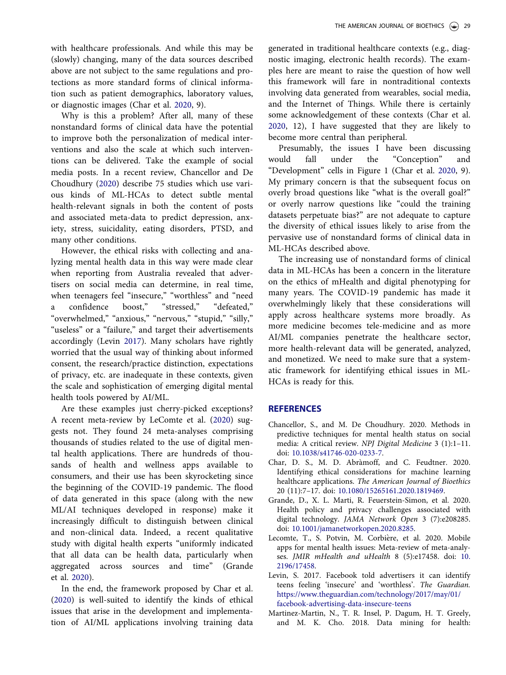<span id="page-3-0"></span>with healthcare professionals. And while this may be (slowly) changing, many of the data sources described above are not subject to the same regulations and protections as more standard forms of clinical information such as patient demographics, laboratory values, or diagnostic images (Char et al. 2020, 9).

Why is this a problem? After all, many of these nonstandard forms of clinical data have the potential to improve both the personalization of medical interventions and also the scale at which such interventions can be delivered. Take the example of social media posts. In a recent review, Chancellor and De Choudhury (2020) describe 75 studies which use various kinds of ML-HCAs to detect subtle mental health-relevant signals in both the content of posts and associated meta-data to predict depression, anxiety, stress, suicidality, eating disorders, PTSD, and many other conditions.

However, the ethical risks with collecting and analyzing mental health data in this way were made clear when reporting from Australia revealed that advertisers on social media can determine, in real time, when teenagers feel "insecure," "worthless" and "need a confidence boost," "stressed," "defeated," "overwhelmed," "anxious," "nervous," "stupid," "silly," "useless" or a "failure," and target their advertisements accordingly (Levin 2017). Many scholars have rightly worried that the usual way of thinking about informed consent, the research/practice distinction, expectations of privacy, etc. are inadequate in these contexts, given the scale and sophistication of emerging digital mental health tools powered by AI/ML.

Are these examples just cherry-picked exceptions? A recent meta-review by LeComte et al. (2020) suggests not. They found 24 meta-analyses comprising thousands of studies related to the use of digital mental health applications. There are hundreds of thousands of health and wellness apps available to consumers, and their use has been skyrocketing since the beginning of the COVID-19 pandemic. The flood of data generated in this space (along with the new ML/AI techniques developed in response) make it increasingly difficult to distinguish between clinical and non-clinical data. Indeed, a recent qualitative study with digital health experts "uniformly indicated that all data can be health data, particularly when aggregated across sources and time" (Grande et al. 2020).

In the end, the framework proposed by Char et al. (2020) is well-suited to identify the kinds of ethical issues that arise in the development and implementation of AI/ML applications involving training data generated in traditional healthcare contexts (e.g., diagnostic imaging, electronic health records). The examples here are meant to raise the question of how well this framework will fare in nontraditional contexts involving data generated from wearables, social media, and the Internet of Things. While there is certainly some acknowledgement of these contexts (Char et al. 2020, 12), I have suggested that they are likely to become more central than peripheral.

Presumably, the issues I have been discussing would fall under the "Conception" and "Development" cells in Figure 1 (Char et al. 2020, 9). My primary concern is that the subsequent focus on overly broad questions like "what is the overall goal?" or overly narrow questions like "could the training datasets perpetuate bias?" are not adequate to capture the diversity of ethical issues likely to arise from the pervasive use of nonstandard forms of clinical data in ML-HCAs described above.

The increasing use of nonstandard forms of clinical data in ML-HCAs has been a concern in the literature on the ethics of mHealth and digital phenotyping for many years. The COVID-19 pandemic has made it overwhelmingly likely that these considerations will apply across healthcare systems more broadly. As more medicine becomes tele-medicine and as more AI/ML companies penetrate the healthcare sector, more health-relevant data will be generated, analyzed, and monetized. We need to make sure that a systematic framework for identifying ethical issues in ML-HCAs is ready for this.

### **REFERENCES**

- Chancellor, S., and M. De Choudhury. 2020. Methods in predictive techniques for mental health status on social media: A critical review. NPJ Digital Medicine 3 (1):1–11. doi: [10.1038/s41746-020-0233-7](https://doi.org/10.1038/s41746-020-0233-7).
- Char, D. S., M. D. Abramoff, and C. Feudtner. [2020](#page-1-0). Identifying ethical considerations for machine learning healthcare applications. The American Journal of Bioethics 20 (11):7–17. doi: [10.1080/15265161.2020.1819469](https://doi.org/10.1080/15265161.2020.1819469).
- Grande, D., X. L. Marti, R. Feuerstein-Simon, et al. 2020. Health policy and privacy challenges associated with digital technology. JAMA Network Open 3 (7):e208285. doi: [10.1001/jamanetworkopen.2020.8285.](https://doi.org/10.1001/jamanetworkopen.2020.8285)
- Lecomte, T., S. Potvin, M. Corbière, et al. 2020. Mobile apps for mental health issues: Meta-review of meta-analyses. JMIR mHealth and uHealth 8 (5):e17458. doi: [10.](https://doi.org/10.2196/17458) [2196/17458](https://doi.org/10.2196/17458).
- Levin, S. 2017. Facebook told advertisers it can identify teens feeling 'insecure' and 'worthless'. The Guardian. [https://www.theguardian.com/technology/2017/may/01/](https://www.theguardian.com/technology/2017/may/01/facebook-advertising-data-insecure-teens) [facebook-advertising-data-insecure-teens](https://www.theguardian.com/technology/2017/may/01/facebook-advertising-data-insecure-teens)
- Martinez-Martin, N., T. R. Insel, P. Dagum, H. T. Greely, and M. K. Cho. [2018](#page-2-0). Data mining for health: